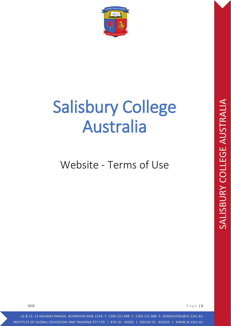

# Salisbury College Australia

# Website - Terms of Use

V2.0 Page | **1**

L4 & L5, 14 RAILWAY PARADE, BURWOOD NSW 2134 T: 1300 121 888 F: 1300 151 888 E: ADMISSIONS@SC.EDU.AU INSTITUTE OF GLOBAL EDUCATION AND TRAINING PTY LTD | RTO ID : 45062 | CRICOS ID : 03565E | WWW.SC.EDU.AU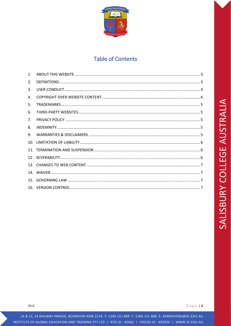

# **Table of Contents**

| 1. |  |
|----|--|
| 2. |  |
| 3. |  |
| 4. |  |
| 5. |  |
| 6. |  |
| 7. |  |
| 8. |  |
| 9. |  |
|    |  |
|    |  |
|    |  |
|    |  |
|    |  |
|    |  |
|    |  |

 $V2.0$ 

L4 & L5, 14 RAILWAY PARADE, BURWOOD NSW 2134 T: 1300 121 888 F: 1300 151 888 E: ADMISSIONS@SC.EDU.AU INSTITUTE OF GLOBAL EDUCATION AND TRAINING PTY LTD | RTO ID : 45062 | CRICOS ID : 03565E | WWW.SC.EDU.AU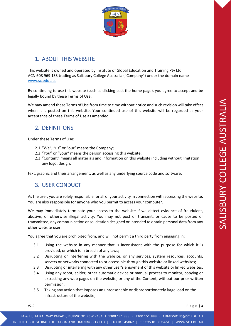

# <span id="page-2-0"></span>1. ABOUT THIS WEBSITE

This website is owned and operated by Institute of Global Education and Training Pty Ltd ACN 608 969 133 trading as Salisbury College Australia ("Company") under the domain name [www.sc.edu.au.](http://www.sc.edu.au/)

By continuing to use this website (such as clicking past the home page), you agree to accept and be legally bound by these Terms of Use.

We may amend these Terms of Use from time to time without notice and such revision will take effect when it is posted on this website. Your continued use of this website will be regarded as your acceptance of these Terms of Use as amended.

# <span id="page-2-1"></span>2. DEFINITIONS

Under these Terms of Use:

- 2.1 "We", "us" or "our" means the Company;
- 2.2 "You" or "your" means the person accessing this website;
- 2.3 "Content" means all materials and information on this website including without limitation any logo, design,

<span id="page-2-2"></span>text, graphic and their arrangement, as well as any underlying source code and software.

#### 3. USER CONDUCT

As the user, you are solely responsible for all of your activity in connection with accessing the website. You are also responsible for anyone who you permit to access your computer.

We may immediately terminate your access to the website if we detect evidence of fraudulent, abusive, or otherwise illegal activity. You may not post or transmit, or cause to be posted or transmitted, any communication or solicitation designed or intended to obtain personal data from any other website user.

You agree that you are prohibited from, and will not permit a third party from engaging in:

- 3.1 Using the website in any manner that is inconsistent with the purpose for which it is provided, or which is in breach of any laws;
- 3.2 Disrupting or interfering with the website, or any services, system resources, accounts, servers or networks connected to or accessible through this website or linked websites;
- 3.3 Disrupting or interfering with any other user's enjoyment of this website or linked websites;
- 3.4 Using any robot, spider, other automatic device or manual process to monitor, copying or extracting any web pages on the website, or any of the Content, without our prior written permission;
- 3.5 Taking any action that imposes an unreasonable or disproportionately large load on the infrastructure of the website;

V2.0 Page | **3**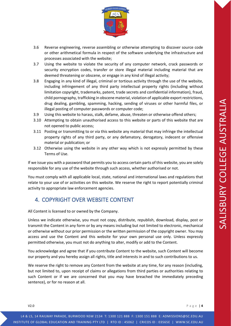

- 3.6 Reverse engineering, reverse assembling or otherwise attempting to discover source code or other arithmetical formula in respect of the software underlying the infrastructure and processes associated with the website;
- 3.7 Using the website to violate the security of any computer network, crack passwords or security encryption codes, transfer or store illegal material including material that are deemed threatening or obscene, or engage in any kind of illegal activity;
- 3.8 Engaging in any kind of illegal, criminal or tortious activity through the use of the website, including infringement of any third party intellectual property rights (including without limitation copyright, trademarks, patent, trade secrets and confidential information), fraud, child pornography, trafficking in obscene material, violation of applicable export restrictions, drug dealing, gambling, spamming, hacking, sending of viruses or other harmful files, or illegal posting of computer passwords or computer code;
- 3.9 Using this website to harass, stalk, defame, abuse, threaten or otherwise offend others;
- 3.10 Attempting to obtain unauthorised access to this website or parts of this website that are not opened to public access;
- 3.11 Posting or transmitting to or via this website any material that may infringe the intellectual property rights of any third party, or any defamatory, derogatory, indecent or offensive material or publication; or
- 3.12 Otherwise using the website in any other way which is not expressly permitted by these Terms of Use.

If we issue you with a password that permits you to access certain parts of this website, you are solely responsible for any use of the website through such access, whether authorised or not.

You must comply with all applicable local, state, national and international laws and regulations that relate to your use of or activities on this website. We reserve the right to report potentially criminal activity to appropriate law enforcement agencies.

#### <span id="page-3-0"></span>4. COPYRIGHT OVER WEBSITE CONTENT

All Content is licensed to or owned by the Company.

Unless we indicate otherwise, you must not copy, distribute, republish, download, display, post or transmit the Content in any form or by any means including but not limited to electronic, mechanical or otherwise without our prior permission or the written permission of the copyright owner. You may access and use the Content and this website for your own personal use only. Unless expressly permitted otherwise, you must not do anything to alter, modify or add to the Content.

You acknowledge and agree that if you contribute Content to the website, such Content will become our property and you hereby assign all rights, title and interests in and to such contributions to us.

We reserve the right to remove any Content from the website at any time, for any reason (including, but not limited to, upon receipt of claims or allegations from third parties or authorities relating to such Content or if we are concerned that you may have breached the immediately preceding sentence), or for no reason at all.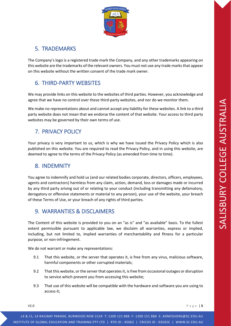

# <span id="page-4-0"></span>5. TRADEMARKS

The Company's logo is a registered trade mark the Company, and any other trademarks appearing on this website are the trademarks of the relevant owners. You must not use any trade marks that appear on this website without the written consent of the trade mark owner.

# <span id="page-4-1"></span>6. THIRD-PARTY WEBSITES

We may provide links on this website to the websites of third parties. However, you acknowledge and agree that we have no control over these third-party websites, and nor do we monitor them.

We make no representations about and cannot accept any liability for these websites. A link to a third party website does not mean that we endorse the content of that website. Your access to third party websites may be governed by their own terms of use.

# <span id="page-4-2"></span>7. PRIVACY POLICY

Your privacy is very important to us, which is why we have issued the Privacy Policy which is also published on this website. You are required to read the Privacy Policy, and in using this website, are deemed to agree to the terms of the Privacy Policy (as amended from time to time).

#### <span id="page-4-3"></span>8. INDEMNITY

You agree to indemnify and hold us (and our related bodies corporate, directors, officers, employees, agents and contractors) harmless from any claim, action, demand, loss or damages made or incurred by any third party arising out of or relating to your conduct (including transmitting any defamatory, derogatory or offensive statements or material to any person), your use of the website, your breach of these Terms of Use, or your breach of any rights of third parties.

## <span id="page-4-4"></span>9. WARRANTIES & DISCLAIMERS

The Content of this website is provided to you on an "as is" and "as available" basis. To the fullest extent permissible pursuant to applicable law, we disclaim all warranties, express or implied, including, but not limited to, implied warranties of merchantability and fitness for a particular purpose, or non-infringement.

We do not warrant or make any representations:

- 9.1 That this website, or the server that operates it, is free from any virus, malicious software, harmful components or other corrupted materials;
- 9.2 That this website, or the server that operates it, is free from occasional outages or disruption to service which prevent you from accessing this website;
- 9.3 That use of this website will be compatible with the hardware and software you are using to access it;

V2.0 Page | **5**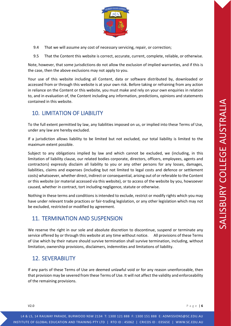

- 9.4 That we will assume any cost of necessary servicing, repair, or correction;
- 9.5 That the Content this website is correct, accurate, current, complete, reliable, or otherwise.

Note, however, that some jurisdictions do not allow the exclusion of implied warranties, and if this is the case, then the above exclusions may not apply to you.

Your use of this website including all Content, data or software distributed by, downloaded or accessed from or through this website is at your own risk. Before taking or refraining from any action in reliance on the Content or this website, you must make and rely on your own enquiries in relation to, and in evaluation of, the Content including any information, predictions, opinions and statements contained in this website.

#### <span id="page-5-0"></span>10. LIMITATION OF LIABILITY

To the full extent permitted by law, any liabilities imposed on us, or implied into these Terms of Use, under any law are hereby excluded.

If a jurisdiction allows liability to be limited but not excluded, our total liability is limited to the maximum extent possible.

Subject to any obligations implied by law and which cannot be excluded, we (including, in this limitation of liability clause, our related bodies corporate, directors, officers, employees, agents and contractors) expressly disclaim all liability to you or any other persons for any losses, damages, liabilities, claims and expenses (including but not limited to legal costs and defence or settlement costs) whatsoever, whether direct, indirect or consequential, arising out of or referable to the Content or this website (or material accessed via this website), or to access of the website by you, howsoever caused, whether in contract, tort including negligence, statute or otherwise.

Nothing in these terms and conditions is intended to exclude, restrict or modify rights which you may have under relevant trade practices or fair-trading legislation, or any other legislation which may not be excluded, restricted or modified by agreement.

#### <span id="page-5-1"></span>11. TERMINATION AND SUSPENSION

We reserve the right in our sole and absolute discretion to discontinue, suspend or terminate any service offered by or through this website at any time without notice. All provisions of these Terms of Use which by their nature should survive termination shall survive termination, including, without limitation, ownership provisions, disclaimers, indemnities and limitations of liability.

#### <span id="page-5-2"></span>12. SEVERABILITY

If any parts of these Terms of Use are deemed unlawful void or for any reason unenforceable, then that provision may be severed from these Terms of Use. It will not affect the validity and enforceability of the remaining provisions.